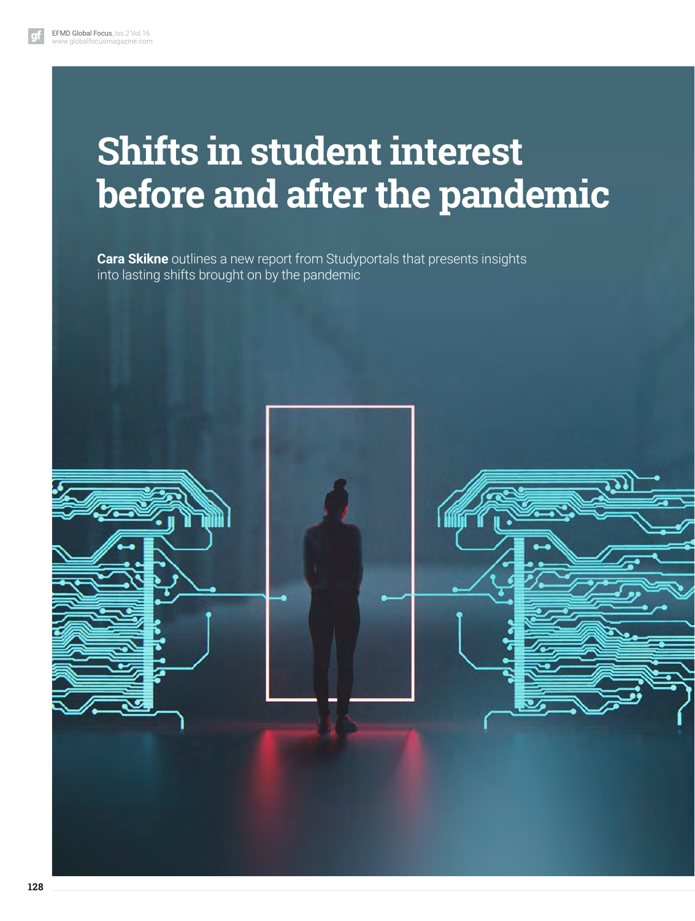# **Shifts in student interest before and after the pandemic**

**Cara Skikne** outlines a new report from Studyportals that presents insights into lasting shifts brought on by the pandemic

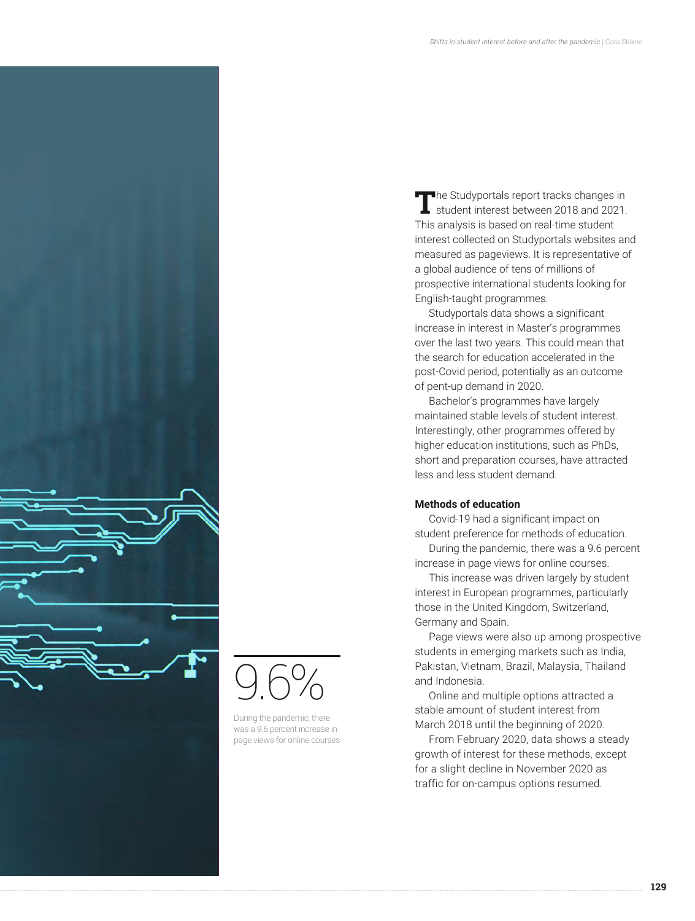

9.6%

During the pandemic, there was a 9.6 percent increase in page views for online courses

**The Studyportals report tracks changes in**<br>student interest between 2018 and 2021. This analysis is based on real-time student interest collected on Studyportals websites and measured as pageviews. It is representative of a global audience of tens of millions of prospective international students looking for English-taught programmes.

Studyportals data shows a significant increase in interest in Master's programmes over the last two years. This could mean that the search for education accelerated in the post-Covid period, potentially as an outcome of pent-up demand in 2020.

Bachelor's programmes have largely maintained stable levels of student interest. Interestingly, other programmes offered by higher education institutions, such as PhDs, short and preparation courses, have attracted less and less student demand.

# **Methods of education**

Covid-19 had a significant impact on student preference for methods of education.

During the pandemic, there was a 9.6 percent increase in page views for online courses.

This increase was driven largely by student interest in European programmes, particularly those in the United Kingdom, Switzerland, Germany and Spain.

Page views were also up among prospective students in emerging markets such as India, Pakistan, Vietnam, Brazil, Malaysia, Thailand and Indonesia.

Online and multiple options attracted a stable amount of student interest from March 2018 until the beginning of 2020.

From February 2020, data shows a steady growth of interest for these methods, except for a slight decline in November 2020 as traffic for on-campus options resumed.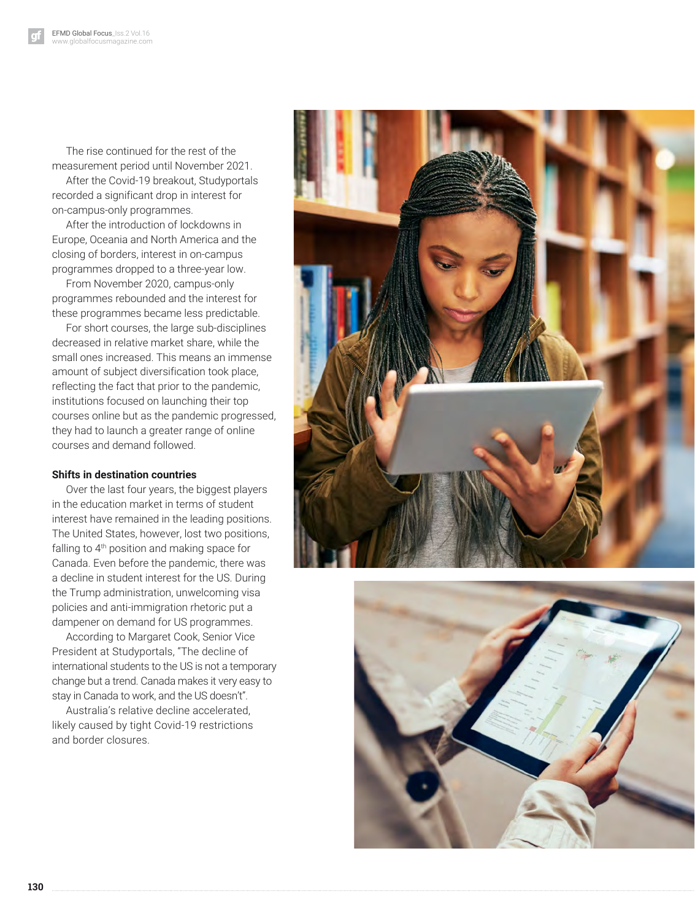The rise continued for the rest of the measurement period until November 2021.

After the Covid-19 breakout, Studyportals recorded a significant drop in interest for on-campus-only programmes.

After the introduction of lockdowns in Europe, Oceania and North America and the closing of borders, interest in on-campus programmes dropped to a three-year low.

From November 2020, campus-only programmes rebounded and the interest for these programmes became less predictable.

For short courses, the large sub-disciplines decreased in relative market share, while the small ones increased. This means an immense amount of subject diversification took place, reflecting the fact that prior to the pandemic, institutions focused on launching their top courses online but as the pandemic progressed, they had to launch a greater range of online courses and demand followed.

### **Shifts in destination countries**

Over the last four years, the biggest players in the education market in terms of student interest have remained in the leading positions. The United States, however, lost two positions, falling to 4<sup>th</sup> position and making space for Canada. Even before the pandemic, there was a decline in student interest for the US. During the Trump administration, unwelcoming visa policies and anti-immigration rhetoric put a dampener on demand for US programmes.

According to Margaret Cook, Senior Vice President at Studyportals, "The decline of international students to the US is not a temporary change but a trend. Canada makes it very easy to stay in Canada to work, and the US doesn't".

Australia's relative decline accelerated, likely caused by tight Covid-19 restrictions and border closures.



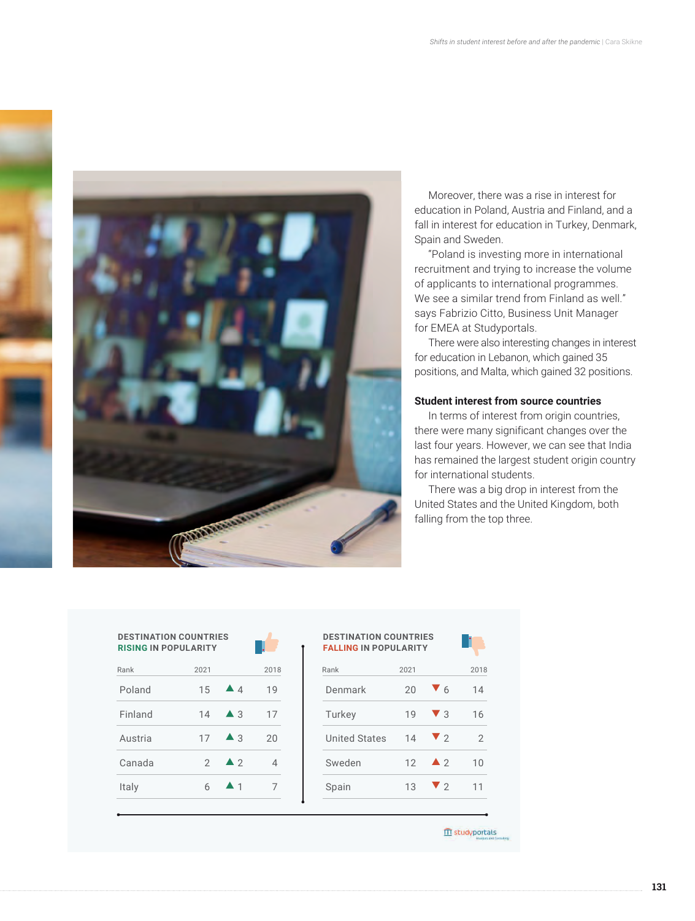

Moreover, there was a rise in interest for education in Poland, Austria and Finland, and a fall in interest for education in Turkey, Denmark, Spain and Sweden.

"Poland is investing more in international recruitment and trying to increase the volume of applicants to international programmes. We see a similar trend from Finland as well." says Fabrizio Citto, Business Unit Manager for EMEA at Studyportals.

There were also interesting changes in interest for education in Lebanon, which gained 35 positions, and Malta, which gained 32 positions.

# **Student interest from source countries**

In terms of interest from origin countries, there were many significant changes over the last four years. However, we can see that India has remained the largest student origin country for international students.

There was a big drop in interest from the United States and the United Kingdom, both falling from the top three.

| <b>DESTINATION COUNTRIES</b><br><b>RISING IN POPULARITY</b> |               |                    |     |
|-------------------------------------------------------------|---------------|--------------------|-----|
| Rank                                                        | 2021          |                    | 201 |
| Poland                                                      | 15            | $\triangle$ 4      | 19  |
| Finland                                                     | 14            | $\blacktriangle$ 3 | 17  |
| Austria                                                     | 17            | $\triangle$ 3      | 2Ο  |
| Canada                                                      | $\mathcal{P}$ | $\triangle$ 2      | △   |
| Italy                                                       | 6             | ▲ 1                |     |
|                                                             |               |                    |     |

| <b>DESTINATION COUNTRIES</b><br><b>RISING IN POPULARITY</b> |               |                    |                | <b>DESTINATION COUNTRIES</b><br><b>FALLING IN POPULARITY</b> |      |                        |  |
|-------------------------------------------------------------|---------------|--------------------|----------------|--------------------------------------------------------------|------|------------------------|--|
| Rank                                                        | 2021          |                    | 2018           | Rank                                                         | 2021 |                        |  |
| Poland                                                      | 15            | $\triangle$ 4      | 19             | Denmark                                                      | 20   | $\blacktriangledown$ 6 |  |
| Finland                                                     | 14            | $\triangle$ 3      | 17             | Turkey                                                       | 19   | $\blacktriangledown$ 3 |  |
| Austria                                                     | 17            | $\triangle$ 3      | 20             | <b>United States</b>                                         | 14   | $\blacktriangledown$ 2 |  |
| Canada                                                      | $\mathcal{P}$ | $\triangle$ 2      | $\overline{4}$ | Sweden                                                       | 12   | $\triangle$ 2          |  |
| Italy                                                       | 6             | $\blacktriangle$ 1 | 7              | Spain                                                        | 13   | $\blacktriangledown$ 2 |  |

III studyportals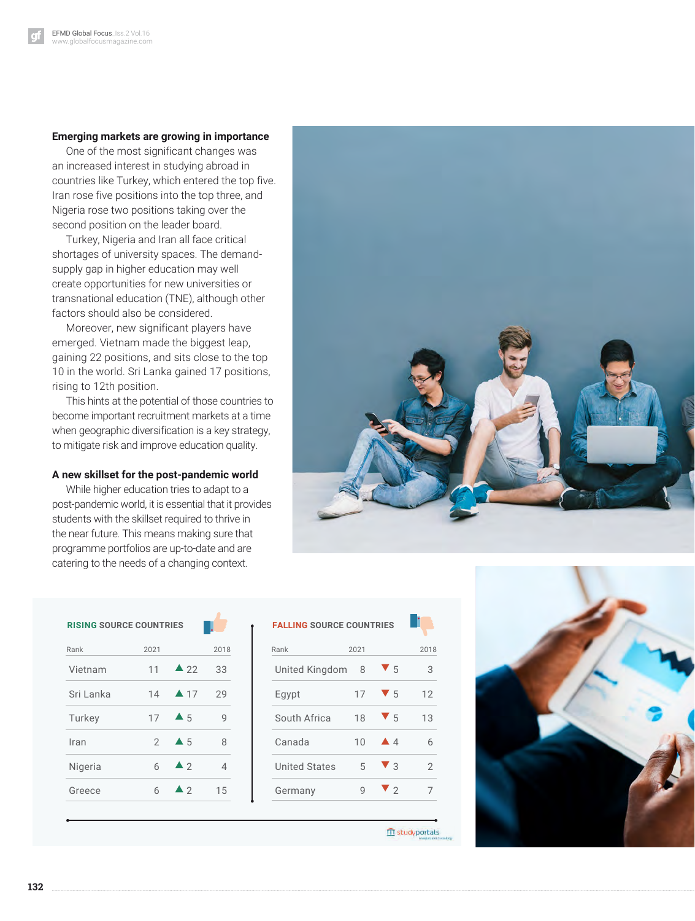## **Emerging markets are growing in importance**

One of the most significant changes was an increased interest in studying abroad in countries like Turkey, which entered the top five. Iran rose five positions into the top three, and Nigeria rose two positions taking over the second position on the leader board.

Turkey, Nigeria and Iran all face critical shortages of university spaces. The demandsupply gap in higher education may well create opportunities for new universities or transnational education (TNE), although other factors should also be considered.

Moreover, new significant players have emerged. Vietnam made the biggest leap, gaining 22 positions, and sits close to the top 10 in the world. Sri Lanka gained 17 positions, rising to 12th position.

This hints at the potential of those countries to become important recruitment markets at a time when geographic diversification is a key strategy, to mitigate risk and improve education quality.

### **A new skillset for the post-pandemic world**

While higher education tries to adapt to a post-pandemic world, it is essential that it provides students with the skillset required to thrive in the near future. This means making sure that programme portfolios are up-to-date and are catering to the needs of a changing context.



| <b>RISING SOURCE COUNTRIES</b> |               |                     |                |                      | <b>FALLING SOURCE COUNTRIES</b> |                        |
|--------------------------------|---------------|---------------------|----------------|----------------------|---------------------------------|------------------------|
| Rank                           | 2021          |                     | 2018           | Rank                 | 2021                            |                        |
| Vietnam                        | 11            | $\triangle$ 22      | 33             | United Kingdom       | 8                               | $\blacktriangledown$ 5 |
| Sri Lanka                      | 14            | $\blacktriangle$ 17 | 29             | Egypt                | 17                              | $\blacktriangledown$ 5 |
| Turkey                         | 17            | $\triangle$ 5       | 9              | South Africa         | 18                              | $\blacktriangledown$ 5 |
| Iran                           | $\mathcal{P}$ | $\blacktriangle$ 5  | 8              | Canada               | 10                              | $\triangle$ 4          |
| Nigeria                        | 6             | $\blacktriangle$ 2  | $\overline{4}$ | <b>United States</b> | 5                               | $\blacktriangledown$ 3 |
| Greece                         | 6             | $\blacktriangle$ 2  | 15             | Germany              | $\mathsf{Q}$                    | $\blacktriangledown$ 2 |

| <b>FALLING SOURCE COUNTRIES</b> |      |                        |      |
|---------------------------------|------|------------------------|------|
| Rank                            | 2021 |                        | 2018 |
| United Kingdom                  | 8    | $\blacktriangledown$ 5 | 3    |
| Egypt                           | 17   | $\blacktriangledown$ 5 | 12   |
| South Africa                    | 18   | V5                     | 13   |
| Canada                          | 10   | $\triangle$ 4          | 6    |
| <b>United States</b>            | 5    | $\blacktriangledown$ 3 | 2    |
| Germany                         | q    | $\blacktriangledown$ 2 | 7    |
|                                 |      |                        |      |

**III** studyportals